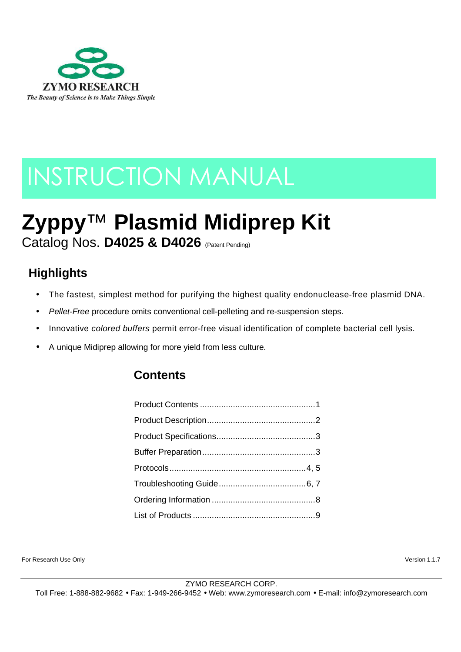

# INSTRUCTION MANUAL

# **Zyppy**™ **Plasmid Midiprep Kit** Catalog Nos. **D4025 & D4026** (Patent Pending)

# **Highlights**

- The fastest, simplest method for purifying the highest quality endonuclease-free plasmid DNA.
- Pellet-Free procedure omits conventional cell-pelleting and re-suspension steps.
- Innovative colored buffers permit error-free visual identification of complete bacterial cell lysis.
- A unique Midiprep allowing for more yield from less culture.

# **Contents**

For Research Use Only Version 1.1.7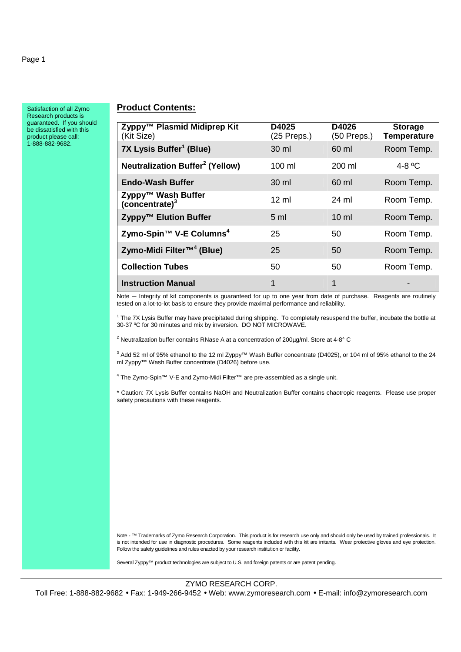Satisfaction of all Zymo Research products is guaranteed. If you should be dissatisfied with this product please call: 1-888-882-9682.

#### **Product Contents:**

| Zyppy™ Plasmid Midiprep Kit<br>(Kit Size)         | D4025<br>$(25$ Preps.) | D4026<br>(50 Preps.) | <b>Storage</b><br><b>Temperature</b> |
|---------------------------------------------------|------------------------|----------------------|--------------------------------------|
| 7X Lysis Buffer <sup>1</sup> (Blue)               | 30 ml                  | 60 ml                | Room Temp.                           |
| <b>Neutralization Buffer<sup>2</sup> (Yellow)</b> | $100 \mathrm{m}$       | $200 \mathrm{ml}$    | 4-8 $\mathrm{^0C}$                   |
| <b>Endo-Wash Buffer</b>                           | $30 \mathrm{m}$        | 60 ml                | Room Temp.                           |
| Zyppy™ Wash Buffer<br>(concentrate) <sup>3</sup>  | $12 \text{ ml}$        | 24 ml                | Room Temp.                           |
| Zyppy™ Elution Buffer                             | 5 <sub>ml</sub>        | $10 \mathrm{m}$      | Room Temp.                           |
| Zymo-Spin™ V-E Columns <sup>4</sup>               | 25                     | 50                   | Room Temp.                           |
| Zymo-Midi Filter™ <sup>4</sup> (Blue)             | 25                     | 50                   | Room Temp.                           |
| <b>Collection Tubes</b>                           | 50                     | 50                   | Room Temp.                           |
| <b>Instruction Manual</b>                         | 1                      | 1                    |                                      |

Note **─** Integrity of kit components is guaranteed for up to one year from date of purchase. Reagents are routinely tested on a lot-to-lot basis to ensure they provide maximal performance and reliability.

<sup>1</sup> The 7X Lysis Buffer may have precipitated during shipping. To completely resuspend the buffer, incubate the bottle at 30-37 ºC for 30 minutes and mix by inversion. DO NOT MICROWAVE.

<sup>2</sup> Neutralization buffer contains RNase A at a concentration of 200µg/ml. Store at 4-8° C

3 Add 52 ml of 95% ethanol to the 12 ml Zyppy**™** Wash Buffer concentrate (D4025), or 104 ml of 95% ethanol to the 24 ml Zyppy**™** Wash Buffer concentrate (D4026) before use.

4 The Zymo-Spin**™** V-E and Zymo-Midi Filter**™** are pre-assembled as a single unit.

\* Caution: 7X Lysis Buffer contains NaOH and Neutralization Buffer contains chaotropic reagents. Please use proper safety precautions with these reagents.

Note - ™ Trademarks of Zymo Research Corporation. This product is for research use only and should only be used by trained professionals. It is not intended for use in diagnostic procedures. Some reagents included with this kit are irritants. Wear protective gloves and eye protection. Follow the safety guidelines and rules enacted by your research institution or facility.

Several Zyppy™ product technologies are subject to U.S. and foreign patents or are patent pending.

ZYMO RESEARCH CORP.

Toll Free: 1-888-882-9682 • Fax: 1-949-266-9452 • Web: www.zymoresearch.com • E-mail: info@zymoresearch.com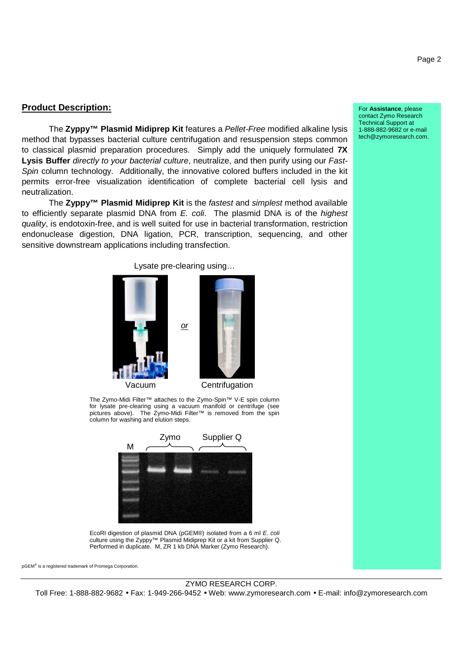#### **Product Description:**

The **Zyppy™ Plasmid Midiprep Kit** features a Pellet-Free modified alkaline lysis method that bypasses bacterial culture centrifugation and resuspension steps common to classical plasmid preparation procedures. Simply add the uniquely formulated **7X**  Lysis Buffer *directly to your bacterial culture*, neutralize, and then purify using our Fast-Spin column technology. Additionally, the innovative colored buffers included in the kit permits error-free visualization identification of complete bacterial cell lysis and neutralization.

The **Zyppy™ Plasmid Midiprep Kit** is the fastest and simplest method available to efficiently separate plasmid DNA from E. coli. The plasmid DNA is of the highest quality, is endotoxin-free, and is well suited for use in bacterial transformation, restriction endonuclease digestion, DNA ligation, PCR, transcription, sequencing, and other sensitive downstream applications including transfection.

> Lysate pre-clearing using… or Vacuum Centrifugation

The Zymo-Midi Filter™ attaches to the Zymo-Spin™ V-E spin column for lysate pre-clearing using a vacuum manifold or centrifuge (see pictures above). The Zymo-Midi Filter™ is removed from the spin column for washing and elution steps.



EcoRI digestion of plasmid DNA (pGEM®) isolated from a 6 ml E. coli culture using the Zyppy™ Plasmid Midiprep Kit or a kit from Supplier Q. Performed in duplicate. M, ZR 1 kb DNA Marker (Zymo Research).

pGEM® is a registered trademark of Promega Corporation.

ZYMO RESEARCH CORP.

Toll Free: 1-888-882-9682 • Fax: 1-949-266-9452 • Web: www.zymoresearch.com • E-mail: info@zymoresearch.com

For **Assistance**, please contact Zymo Research Technical Support at 1-888-882-9682 or e-mail tech@zymoresearch.com.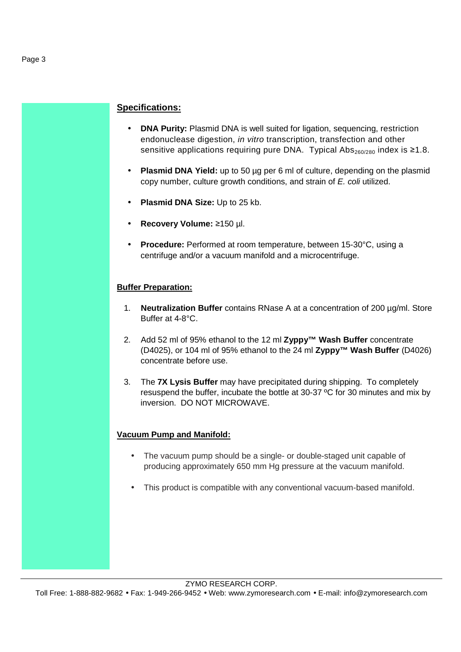#### **Specifications:**

- **DNA Purity:** Plasmid DNA is well suited for ligation, sequencing, restriction endonuclease digestion, in vitro transcription, transfection and other sensitive applications requiring pure DNA. Typical Abs<sub>260/280</sub> index is  $\geq 1.8$ .
- **Plasmid DNA Yield:** up to 50 µg per 6 ml of culture, depending on the plasmid copy number, culture growth conditions, and strain of E. coli utilized.
- **Plasmid DNA Size:** Up to 25 kb.
- **Recovery Volume:** ≥150 µl.
- **Procedure:** Performed at room temperature, between 15-30°C, using a centrifuge and/or a vacuum manifold and a microcentrifuge.

#### **Buffer Preparation:**

- 1. **Neutralization Buffer** contains RNase A at a concentration of 200 µg/ml. Store Buffer at 4-8°C.
- 2. Add 52 ml of 95% ethanol to the 12 ml **Zyppy™ Wash Buffer** concentrate (D4025), or 104 ml of 95% ethanol to the 24 ml **Zyppy™ Wash Buffer** (D4026) concentrate before use.
- 3. The **7X Lysis Buffer** may have precipitated during shipping. To completely resuspend the buffer, incubate the bottle at 30-37 ºC for 30 minutes and mix by inversion. DO NOT MICROWAVE.

#### **Vacuum Pump and Manifold:**

- The vacuum pump should be a single- or double-staged unit capable of producing approximately 650 mm Hg pressure at the vacuum manifold.
- This product is compatible with any conventional vacuum-based manifold.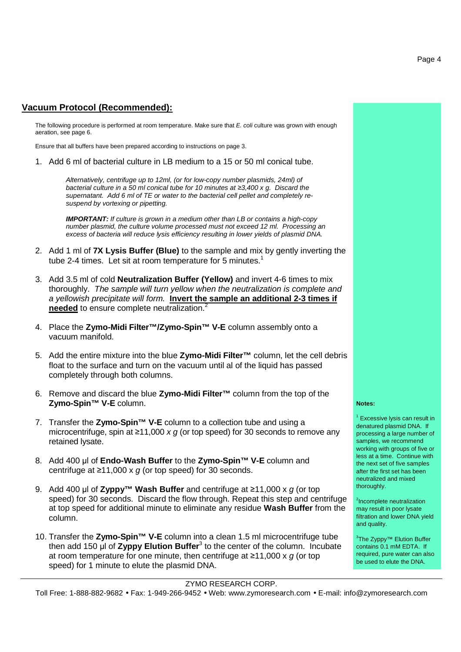#### **Vacuum Protocol (Recommended):**

The following procedure is performed at room temperature. Make sure that E. coli culture was grown with enough aeration, see page 6.

Ensure that all buffers have been prepared according to instructions on page 3.

1. Add 6 ml of bacterial culture in LB medium to a 15 or 50 ml conical tube.

Alternatively, centrifuge up to 12ml, (or for low-copy number plasmids, 24ml) of bacterial culture in a 50 ml conical tube for 10 minutes at *≥*3,400 x g. Discard the supernatant. Add 6 ml of TE or water to the bacterial cell pellet and completely resuspend by vortexing or pipetting.

**IMPORTANT:** If culture is grown in a medium other than LB or contains a high-copy number plasmid, the culture volume processed must not exceed 12 ml. Processing an excess of bacteria will reduce lysis efficiency resulting in lower yields of plasmid DNA.

- 2. Add 1 ml of **7X Lysis Buffer (Blue)** to the sample and mix by gently inverting the tube 2-4 times. Let sit at room temperature for 5 minutes.<sup>1</sup>
- 3. Add 3.5 ml of cold **Neutralization Buffer (Yellow)** and invert 4-6 times to mix thoroughly. The sample will turn yellow when the neutralization is complete and a yellowish precipitate will form. **Invert the sample an additional 2-3 times if needed** to ensure complete neutralization.<sup>2</sup>
- 4. Place the **Zymo-Midi Filter™/Zymo-Spin™ V-E** column assembly onto a vacuum manifold.
- 5. Add the entire mixture into the blue **Zymo-Midi Filter™** column, let the cell debris float to the surface and turn on the vacuum until al of the liquid has passed completely through both columns.
- 6. Remove and discard the blue **Zymo-Midi Filter™** column from the top of the **Zymo-Spin™ V-E** column.
- 7. Transfer the **Zymo-Spin™ V-E** column to a collection tube and using a microcentrifuge, spin at  $\geq 11,000 \times q$  (or top speed) for 30 seconds to remove any retained lysate.
- 8. Add 400 µl of **Endo-Wash Buffer** to the **Zymo-Spin™ V-E** column and centrifuge at  $\geq$ 11,000 x q (or top speed) for 30 seconds.
- 9. Add 400 µl of **Zyppy™ Wash Buffer** and centrifuge at ≥11,000 x g (or top speed) for 30 seconds. Discard the flow through. Repeat this step and centrifuge at top speed for additional minute to eliminate any residue **Wash Buffer** from the column.
- 10. Transfer the **Zymo-Spin™ V-E** column into a clean 1.5 ml microcentrifuge tube then add 150 µl of Zyppy Elution Buffer<sup>3</sup> to the center of the column. Incubate at room temperature for one minute, then centrifuge at  $\geq 11,000 \times g$  (or top speed) for 1 minute to elute the plasmid DNA.

#### ZYMO RESEARCH CORP.

Toll Free: 1-888-882-9682 • Fax: 1-949-266-9452 • Web: www.zymoresearch.com • E-mail: info@zymoresearch.com

#### **Notes:**

<sup>1</sup> Excessive lysis can result in denatured plasmid DNA. If processing a large number of samples, we recommend working with groups of five or less at a time. Continue with the next set of five samples after the first set has been neutralized and mixed thoroughly.

<sup>2</sup>Incomplete neutralization may result in poor lysate filtration and lower DNA yield and quality.

<sup>3</sup>The Zyppy™ Elution Buffer contains 0.1 mM EDTA. If required, pure water can also be used to elute the DNA.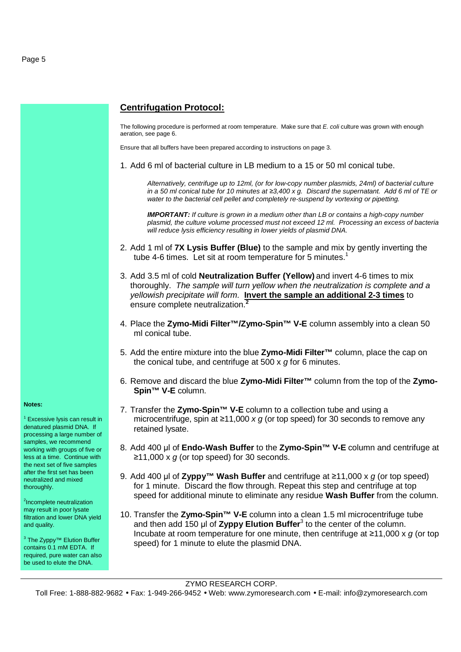

denatured plasmid DNA. If processing a large number of samples, we recommend working with groups of five or less at a time. Continue with the next set of five samples after the first set has been neutralized and mixed thoroughly.

<sup>2</sup>Incomplete neutralization may result in poor lysate filtration and lower DNA yield and quality.

<sup>3</sup> The Zyppy™ Elution Buffer contains 0.1 mM EDTA. If required, pure water can also be used to elute the DNA.

#### **Centrifugation Protocol:**

The following procedure is performed at room temperature. Make sure that E. coli culture was grown with enough aeration, see page 6.

Ensure that all buffers have been prepared according to instructions on page 3.

1. Add 6 ml of bacterial culture in LB medium to a 15 or 50 ml conical tube.

Alternatively, centrifuge up to 12ml, (or for low-copy number plasmids, 24ml) of bacterial culture in a 50 ml conical tube for 10 minutes at *≥*3,400 x g. Discard the supernatant. Add 6 ml of TE or water to the bacterial cell pellet and completely re-suspend by vortexing or pipetting.

**IMPORTANT:** If culture is grown in a medium other than LB or contains a high-copy number plasmid, the culture volume processed must not exceed 12 ml. Processing an excess of bacteria will reduce lysis efficiency resulting in lower yields of plasmid DNA.

- 2. Add 1 ml of **7X Lysis Buffer (Blue)** to the sample and mix by gently inverting the tube 4-6 times. Let sit at room temperature for 5 minutes.<sup>1</sup>
- 3. Add 3.5 ml of cold **Neutralization Buffer (Yellow)** and invert 4-6 times to mix thoroughly. The sample will turn yellow when the neutralization is complete and a yellowish precipitate will form. **Invert the sample an additional 2-3 times** to ensure complete neutralization.**<sup>2</sup>**
- 4. Place the **Zymo-Midi Filter™/Zymo-Spin™ V-E** column assembly into a clean 50 ml conical tube.
- 5. Add the entire mixture into the blue **Zymo-Midi Filter™** column, place the cap on the conical tube, and centrifuge at 500 x g for 6 minutes.
- 6. Remove and discard the blue **Zymo-Midi Filter™** column from the top of the **Zymo-Spin™ V-E** column.
- 7. Transfer the **Zymo-Spin™ V-E** column to a collection tube and using a microcentrifuge, spin at  $\geq 11,000 \times g$  (or top speed) for 30 seconds to remove any retained lysate.
- 8. Add 400 µl of **Endo-Wash Buffer** to the **Zymo-Spin™ V-E** column and centrifuge at ≥11,000 x  $g$  (or top speed) for 30 seconds.
- 9. Add 400 µl of **Zyppy™ Wash Buffer** and centrifuge at ≥11,000 x g (or top speed) for 1 minute. Discard the flow through. Repeat this step and centrifuge at top speed for additional minute to eliminate any residue **Wash Buffer** from the column.
- 10. Transfer the **Zymo-Spin™ V-E** column into a clean 1.5 ml microcentrifuge tube and then add 150 µl of Zyppy Elution Buffer<sup>3</sup> to the center of the column. Incubate at room temperature for one minute, then centrifuge at  $\geq$ 11,000 x g (or top speed) for 1 minute to elute the plasmid DNA.

ZYMO RESEARCH CORP.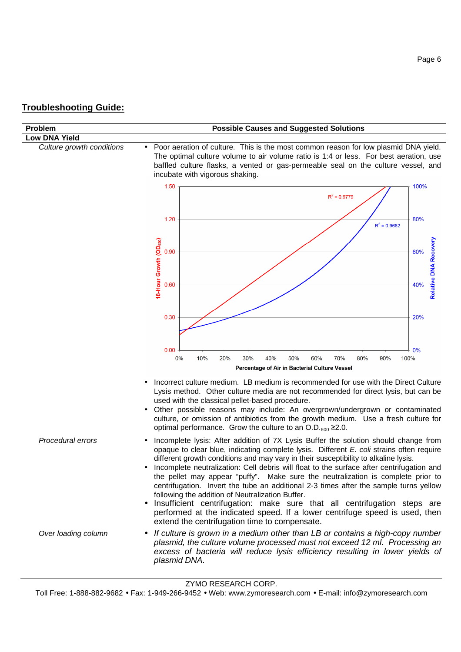# **Troubleshooting Guide:**

| Problem                   | <b>Possible Causes and Suggested Solutions</b>                                                                                                                                                                                                                                                                                                                                                                                                                                                                                                                                                                                                                                                                                                                                                                                |
|---------------------------|-------------------------------------------------------------------------------------------------------------------------------------------------------------------------------------------------------------------------------------------------------------------------------------------------------------------------------------------------------------------------------------------------------------------------------------------------------------------------------------------------------------------------------------------------------------------------------------------------------------------------------------------------------------------------------------------------------------------------------------------------------------------------------------------------------------------------------|
| <b>Low DNA Yield</b>      |                                                                                                                                                                                                                                                                                                                                                                                                                                                                                                                                                                                                                                                                                                                                                                                                                               |
| Culture growth conditions | Poor aeration of culture. This is the most common reason for low plasmid DNA yield.<br>$\bullet$<br>The optimal culture volume to air volume ratio is 1:4 or less. For best aeration, use<br>baffled culture flasks, a vented or gas-permeable seal on the culture vessel, and<br>incubate with vigorous shaking.                                                                                                                                                                                                                                                                                                                                                                                                                                                                                                             |
|                           | 1.50<br>100%                                                                                                                                                                                                                                                                                                                                                                                                                                                                                                                                                                                                                                                                                                                                                                                                                  |
|                           | $R^2 = 0.9779$                                                                                                                                                                                                                                                                                                                                                                                                                                                                                                                                                                                                                                                                                                                                                                                                                |
|                           | 80%<br>1.20<br>$R^2$ = 0.9682                                                                                                                                                                                                                                                                                                                                                                                                                                                                                                                                                                                                                                                                                                                                                                                                 |
|                           | 18-Hour Growth (OD <sub>600</sub> )<br>Relative DNA Recovery<br>0.90<br>60%                                                                                                                                                                                                                                                                                                                                                                                                                                                                                                                                                                                                                                                                                                                                                   |
|                           | 0.60<br>40%                                                                                                                                                                                                                                                                                                                                                                                                                                                                                                                                                                                                                                                                                                                                                                                                                   |
|                           | 0.30<br>20%                                                                                                                                                                                                                                                                                                                                                                                                                                                                                                                                                                                                                                                                                                                                                                                                                   |
|                           | 0%<br>0.00                                                                                                                                                                                                                                                                                                                                                                                                                                                                                                                                                                                                                                                                                                                                                                                                                    |
|                           | 10%<br>30%<br>40%<br>50%<br>60%<br>70%<br>0%<br>20%<br>80%<br>90%<br>100%<br>Percentage of Air in Bacterial Culture Vessel                                                                                                                                                                                                                                                                                                                                                                                                                                                                                                                                                                                                                                                                                                    |
|                           | Incorrect culture medium. LB medium is recommended for use with the Direct Culture<br>Lysis method. Other culture media are not recommended for direct lysis, but can be<br>used with the classical pellet-based procedure.<br>Other possible reasons may include: An overgrown/undergrown or contaminated<br>culture, or omission of antibiotics from the growth medium. Use a fresh culture for<br>optimal performance. Grow the culture to an O.D. $_{600}$ $\geq$ 2.0.                                                                                                                                                                                                                                                                                                                                                    |
| Procedural errors         | Incomplete lysis: After addition of 7X Lysis Buffer the solution should change from<br>opaque to clear blue, indicating complete lysis. Different E. coli strains often require<br>different growth conditions and may vary in their susceptibility to alkaline lysis.<br>Incomplete neutralization: Cell debris will float to the surface after centrifugation and<br>the pellet may appear "puffy". Make sure the neutralization is complete prior to<br>centrifugation. Invert the tube an additional 2-3 times after the sample turns yellow<br>following the addition of Neutralization Buffer.<br>Insufficient centrifugation: make sure that all centrifugation steps are<br>$\bullet$<br>performed at the indicated speed. If a lower centrifuge speed is used, then<br>extend the centrifugation time to compensate. |
| Over loading column       | If culture is grown in a medium other than LB or contains a high-copy number<br>$\bullet$<br>plasmid, the culture volume processed must not exceed 12 ml. Processing an<br>excess of bacteria will reduce lysis efficiency resulting in lower yields of<br>plasmid DNA.                                                                                                                                                                                                                                                                                                                                                                                                                                                                                                                                                       |

ZYMO RESEARCH CORP.

Toll Free: 1-888-882-9682 • Fax: 1-949-266-9452 • Web: www.zymoresearch.com • E-mail: info@zymoresearch.com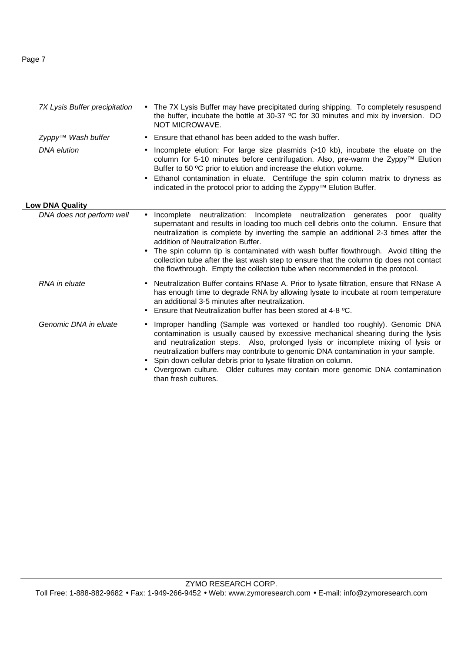### Page 7

| 7X Lysis Buffer precipitation | • The 7X Lysis Buffer may have precipitated during shipping. To completely resuspend<br>the buffer, incubate the bottle at 30-37 °C for 30 minutes and mix by inversion. DO<br>NOT MICROWAVE.                                                                                                                                                                                                                                                                                                                                                                                    |  |
|-------------------------------|----------------------------------------------------------------------------------------------------------------------------------------------------------------------------------------------------------------------------------------------------------------------------------------------------------------------------------------------------------------------------------------------------------------------------------------------------------------------------------------------------------------------------------------------------------------------------------|--|
| Zyppy™ Wash buffer            | Ensure that ethanol has been added to the wash buffer.                                                                                                                                                                                                                                                                                                                                                                                                                                                                                                                           |  |
| <b>DNA</b> elution            | Incomplete elution: For large size plasmids (>10 kb), incubate the eluate on the<br>column for 5-10 minutes before centrifugation. Also, pre-warm the Zyppy™ Elution<br>Buffer to 50 °C prior to elution and increase the elution volume.                                                                                                                                                                                                                                                                                                                                        |  |
|                               | Ethanol contamination in eluate. Centrifuge the spin column matrix to dryness as<br>indicated in the protocol prior to adding the Zyppy™ Elution Buffer.                                                                                                                                                                                                                                                                                                                                                                                                                         |  |
| <b>Low DNA Quality</b>        |                                                                                                                                                                                                                                                                                                                                                                                                                                                                                                                                                                                  |  |
| DNA does not perform well     | Incomplete neutralization: Incomplete neutralization generates poor quality<br>$\bullet$<br>supernatant and results in loading too much cell debris onto the column. Ensure that<br>neutralization is complete by inverting the sample an additional 2-3 times after the<br>addition of Neutralization Buffer.<br>The spin column tip is contaminated with wash buffer flowthrough. Avoid tilting the<br>collection tube after the last wash step to ensure that the column tip does not contact<br>the flowthrough. Empty the collection tube when recommended in the protocol. |  |
| RNA in eluate                 | • Neutralization Buffer contains RNase A. Prior to lysate filtration, ensure that RNase A<br>has enough time to degrade RNA by allowing lysate to incubate at room temperature<br>an additional 3-5 minutes after neutralization.<br>Ensure that Neutralization buffer has been stored at 4-8 °C.                                                                                                                                                                                                                                                                                |  |
| Genomic DNA in eluate         | Improper handling (Sample was vortexed or handled too roughly). Genomic DNA<br>contamination is usually caused by excessive mechanical shearing during the lysis<br>and neutralization steps. Also, prolonged lysis or incomplete mixing of lysis or<br>neutralization buffers may contribute to genomic DNA contamination in your sample.<br>Spin down cellular debris prior to lysate filtration on column.<br>Overgrown culture. Older cultures may contain more genomic DNA contamination<br>than fresh cultures.                                                            |  |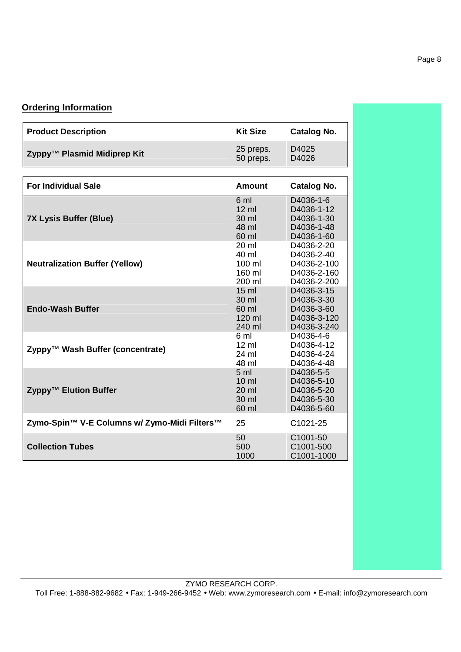## **Ordering Information**

| <b>Product Description</b>                   | <b>Kit Size</b>                                                        | <b>Catalog No.</b>                                                    |
|----------------------------------------------|------------------------------------------------------------------------|-----------------------------------------------------------------------|
| Zyppy™ Plasmid Midiprep Kit                  | 25 preps.<br>50 preps.                                                 | D <sub>4025</sub><br>D4026                                            |
| <b>For Individual Sale</b>                   | Amount                                                                 | <b>Catalog No.</b>                                                    |
| <b>7X Lysis Buffer (Blue)</b>                | 6 ml<br>$12 \mathrm{ml}$<br>30 ml<br>48 ml<br>60 ml                    | D4036-1-6<br>D4036-1-12<br>D4036-1-30<br>D4036-1-48<br>D4036-1-60     |
| <b>Neutralization Buffer (Yellow)</b>        | 20 ml<br>40 ml<br>$100 \mathrm{m}$<br>160 ml<br>200 ml                 | D4036-2-20<br>D4036-2-40<br>D4036-2-100<br>D4036-2-160<br>D4036-2-200 |
| <b>Endo-Wash Buffer</b>                      | 15 <sub>m</sub><br>30 ml<br>60 ml<br>$120$ ml<br>240 ml                | D4036-3-15<br>D4036-3-30<br>D4036-3-60<br>D4036-3-120<br>D4036-3-240  |
| Zyppy™ Wash Buffer (concentrate)             | 6 ml<br>$12 \mathrm{ml}$<br>24 ml<br>48 ml                             | D4036-4-6<br>D4036-4-12<br>D4036-4-24<br>D4036-4-48                   |
| Zyppy™ Elution Buffer                        | 5 <sub>m</sub><br>$10 \mathrm{m}$<br>$20 \mathrm{m}$<br>30 ml<br>60 ml | D4036-5-5<br>D4036-5-10<br>D4036-5-20<br>D4036-5-30<br>D4036-5-60     |
| Zymo-Spin™ V-E Columns w/ Zymo-Midi Filters™ | 25                                                                     | C1021-25                                                              |
| <b>Collection Tubes</b>                      | 50<br>500<br>1000                                                      | C1001-50<br>C <sub>1001</sub> -500<br>C1001-1000                      |